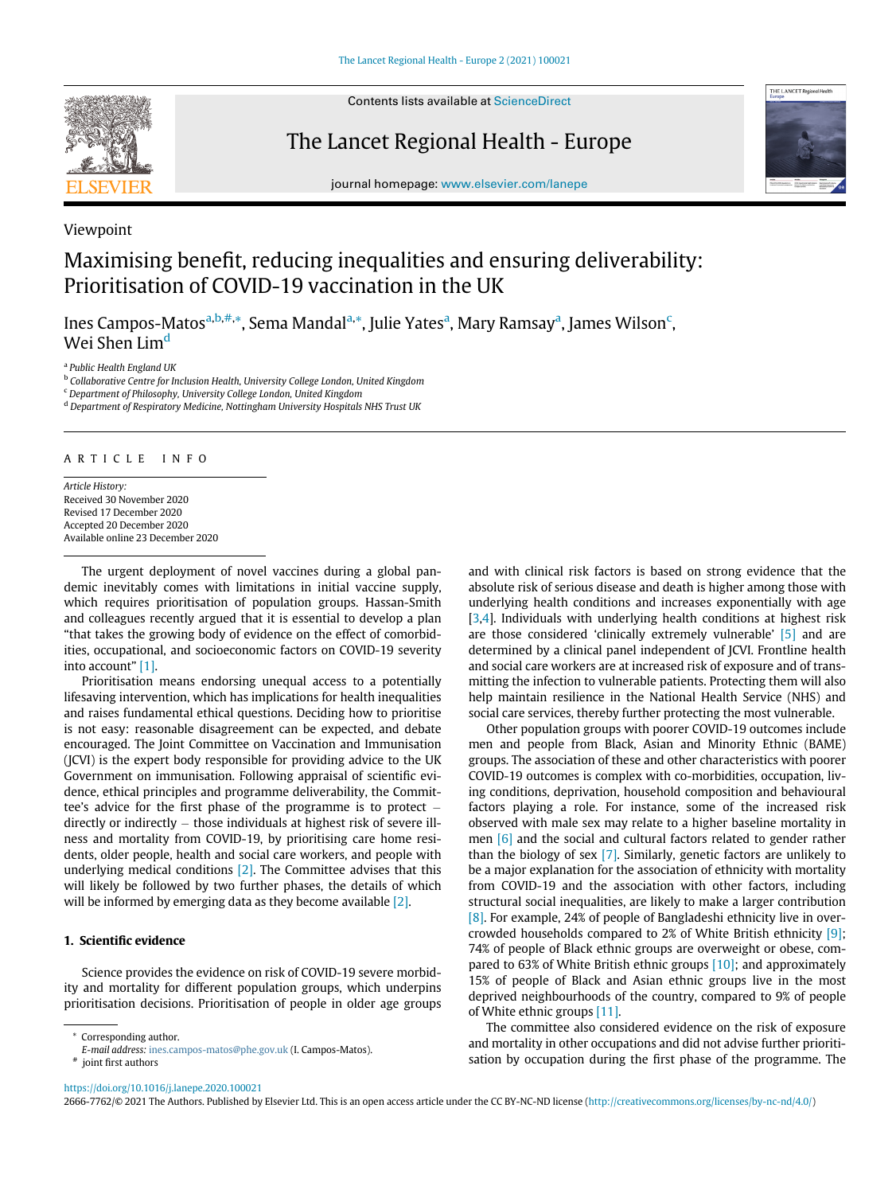

Viewpoint

Contents lists available at ScienceDirect

The Lancet Regional Health - Europe



journal homepage: [www.elsevier.com/lanepe](http://www.elsevier.com/lanepe)

# Maximising benefit, reducing inequalities and ensuring deliverability: Prioritisation of COVID-19 vaccination in the UK

Ines Campos-Matos<sup>[a,](#page-0-0)[b](#page-0-1),[#](#page-0-2),</sup>[\\*,](#page-0-3) Sem[a](#page-0-0) Mandal<sup>a,</sup>\*, Julie Yates<sup>a</sup>, Mary Ramsay<sup>a</sup>, James Wilson<sup>[c](#page-0-4)</sup>, Wei Shen Lim<sup>[d](#page-0-5)</sup>

<span id="page-0-0"></span><sup>a</sup> Public Health England UK

<span id="page-0-1"></span><sup>b</sup> Collaborative Centre for Inclusion Health, University College London, United Kingdom

<span id="page-0-4"></span><sup>c</sup> Department of Philosophy, University College London, United Kingdom

<span id="page-0-5"></span><sup>d</sup> Department of Respiratory Medicine, Nottingham University Hospitals NHS Trust UK

### ARTICLE INFO

Article History: Received 30 November 2020 Revised 17 December 2020 Accepted 20 December 2020 Available online 23 December 2020

The urgent deployment of novel vaccines during a global pandemic inevitably comes with limitations in initial vaccine supply, which requires prioritisation of population groups. Hassan-Smith and colleagues recently argued that it is essential to develop a plan "that takes the growing body of evidence on the effect of comorbidities, occupational, and socioeconomic factors on COVID-19 severity into account" [\[1\].](#page-2-0)

Prioritisation means endorsing unequal access to a potentially lifesaving intervention, which has implications for health inequalities and raises fundamental ethical questions. Deciding how to prioritise is not easy: reasonable disagreement can be expected, and debate encouraged. The Joint Committee on Vaccination and Immunisation (JCVI) is the expert body responsible for providing advice to the UK Government on immunisation. Following appraisal of scientific evidence, ethical principles and programme deliverability, the Committee's advice for the first phase of the programme is to protect directly or indirectly  $-$  those individuals at highest risk of severe illness and mortality from COVID-19, by prioritising care home residents, older people, health and social care workers, and people with underlying medical conditions [\[2\]](#page-2-1). The Committee advises that this will likely be followed by two further phases, the details of which will be informed by emerging data as they become available [\[2\].](#page-2-1)

## 1. Scientific evidence

Science provides the evidence on risk of COVID-19 severe morbidity and mortality for different population groups, which underpins prioritisation decisions. Prioritisation of people in older age groups

<span id="page-0-3"></span>Corresponding author.

and with clinical risk factors is based on strong evidence that the absolute risk of serious disease and death is higher among those with underlying health conditions and increases exponentially with age [\[3,](#page-2-2)[4](#page-2-3)]. Individuals with underlying health conditions at highest risk are those considered 'clinically extremely vulnerable' [\[5\]](#page-2-4) and are determined by a clinical panel independent of JCVI. Frontline health and social care workers are at increased risk of exposure and of transmitting the infection to vulnerable patients. Protecting them will also help maintain resilience in the National Health Service (NHS) and social care services, thereby further protecting the most vulnerable.

Other population groups with poorer COVID-19 outcomes include men and people from Black, Asian and Minority Ethnic (BAME) groups. The association of these and other characteristics with poorer COVID-19 outcomes is complex with co-morbidities, occupation, living conditions, deprivation, household composition and behavioural factors playing a role. For instance, some of the increased risk observed with male sex may relate to a higher baseline mortality in men [\[6\]](#page-2-5) and the social and cultural factors related to gender rather than the biology of sex [\[7\]](#page-2-6). Similarly, genetic factors are unlikely to be a major explanation for the association of ethnicity with mortality from COVID-19 and the association with other factors, including structural social inequalities, are likely to make a larger contribution [\[8\].](#page-2-7) For example, 24% of people of Bangladeshi ethnicity live in overcrowded households compared to 2% of White British ethnicity [\[9\];](#page-2-8) 74% of people of Black ethnic groups are overweight or obese, compared to 63% of White British ethnic groups [\[10\]](#page-2-9); and approximately 15% of people of Black and Asian ethnic groups live in the most deprived neighbourhoods of the country, compared to 9% of people of White ethnic groups [\[11\]](#page-2-10).

The committee also considered evidence on the risk of exposure and mortality in other occupations and did not advise further prioritisation by occupation during the first phase of the programme. The

<span id="page-0-2"></span><https://doi.org/10.1016/j.lanepe.2020.100021>

2666-7762/© 2021 The Authors. Published by Elsevier Ltd. This is an open access article under the CC BY-NC-ND license [\(http://creativecommons.org/licenses/by-nc-nd/4.0/](http://creativecommons.org/licenses/by-nc-nd/4.0/))

E-mail address: [ines.campos-matos@phe.gov.uk](mailto:ines.campos-matos@phe.gov.uk) (I. Campos-Matos). # joint first authors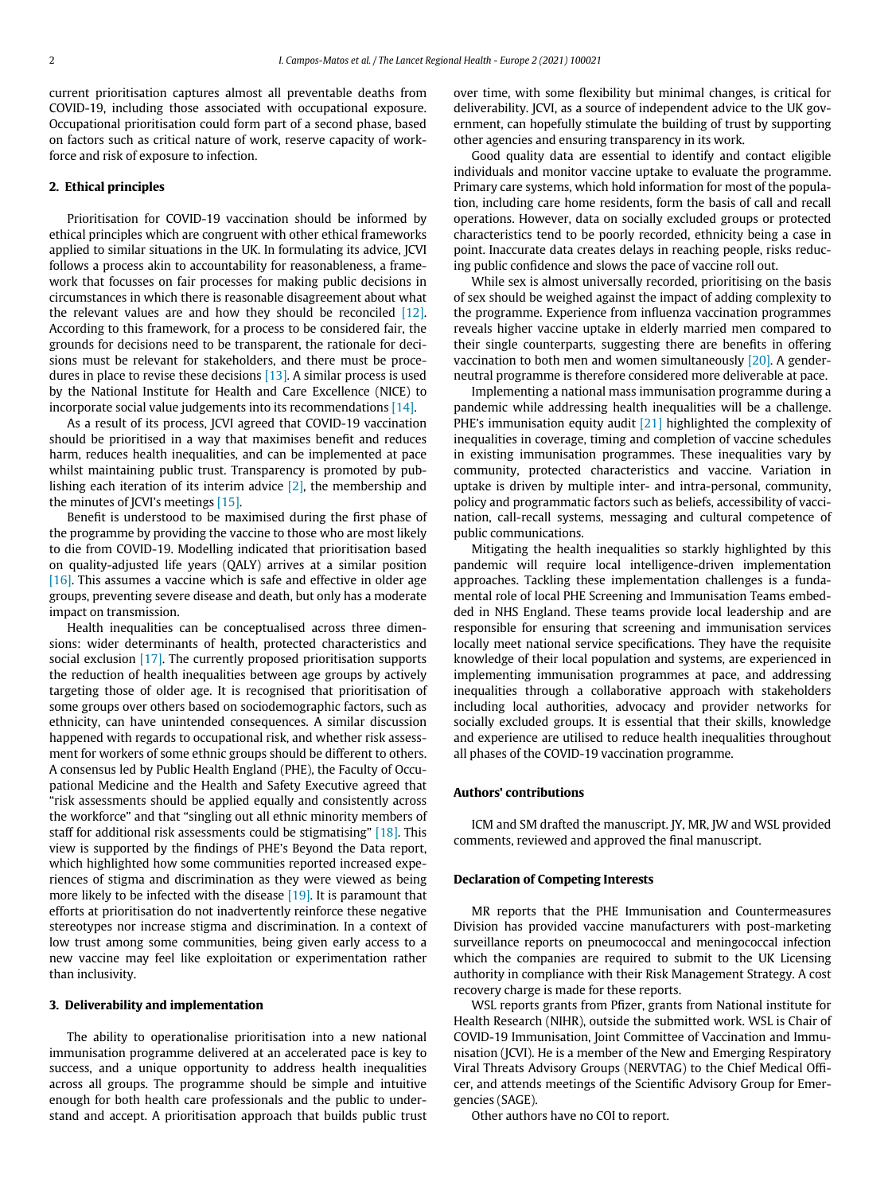current prioritisation captures almost all preventable deaths from COVID-19, including those associated with occupational exposure. Occupational prioritisation could form part of a second phase, based on factors such as critical nature of work, reserve capacity of workforce and risk of exposure to infection.

#### 2. Ethical principles

Prioritisation for COVID-19 vaccination should be informed by ethical principles which are congruent with other ethical frameworks applied to similar situations in the UK. In formulating its advice, JCVI follows a process akin to accountability for reasonableness, a framework that focusses on fair processes for making public decisions in circumstances in which there is reasonable disagreement about what the relevant values are and how they should be reconciled [\[12\].](#page-2-11) According to this framework, for a process to be considered fair, the grounds for decisions need to be transparent, the rationale for decisions must be relevant for stakeholders, and there must be procedures in place to revise these decisions [\[13\].](#page-2-12) A similar process is used by the National Institute for Health and Care Excellence (NICE) to incorporate social value judgements into its recommendations [\[14\]](#page-2-13).

As a result of its process, JCVI agreed that COVID-19 vaccination should be prioritised in a way that maximises benefit and reduces harm, reduces health inequalities, and can be implemented at pace whilst maintaining public trust. Transparency is promoted by publishing each iteration of its interim advice [\[2\],](#page-2-1) the membership and the minutes of JCVI's meetings [\[15\]](#page-2-14).

Benefit is understood to be maximised during the first phase of the programme by providing the vaccine to those who are most likely to die from COVID-19. Modelling indicated that prioritisation based on quality-adjusted life years (QALY) arrives at a similar position [\[16\].](#page-2-15) This assumes a vaccine which is safe and effective in older age groups, preventing severe disease and death, but only has a moderate impact on transmission.

Health inequalities can be conceptualised across three dimensions: wider determinants of health, protected characteristics and social exclusion [\[17\].](#page-2-16) The currently proposed prioritisation supports the reduction of health inequalities between age groups by actively targeting those of older age. It is recognised that prioritisation of some groups over others based on sociodemographic factors, such as ethnicity, can have unintended consequences. A similar discussion happened with regards to occupational risk, and whether risk assessment for workers of some ethnic groups should be different to others. A consensus led by Public Health England (PHE), the Faculty of Occupational Medicine and the Health and Safety Executive agreed that "risk assessments should be applied equally and consistently across the workforce" and that "singling out all ethnic minority members of staff for additional risk assessments could be stigmatising" [\[18\]](#page-2-17). This view is supported by the findings of PHE's Beyond the Data report, which highlighted how some communities reported increased experiences of stigma and discrimination as they were viewed as being more likely to be infected with the disease [\[19\]](#page-2-18). It is paramount that efforts at prioritisation do not inadvertently reinforce these negative stereotypes nor increase stigma and discrimination. In a context of low trust among some communities, being given early access to a new vaccine may feel like exploitation or experimentation rather than inclusivity.

#### 3. Deliverability and implementation

The ability to operationalise prioritisation into a new national immunisation programme delivered at an accelerated pace is key to success, and a unique opportunity to address health inequalities across all groups. The programme should be simple and intuitive enough for both health care professionals and the public to understand and accept. A prioritisation approach that builds public trust over time, with some flexibility but minimal changes, is critical for deliverability. JCVI, as a source of independent advice to the UK government, can hopefully stimulate the building of trust by supporting other agencies and ensuring transparency in its work.

Good quality data are essential to identify and contact eligible individuals and monitor vaccine uptake to evaluate the programme. Primary care systems, which hold information for most of the population, including care home residents, form the basis of call and recall operations. However, data on socially excluded groups or protected characteristics tend to be poorly recorded, ethnicity being a case in point. Inaccurate data creates delays in reaching people, risks reducing public confidence and slows the pace of vaccine roll out.

While sex is almost universally recorded, prioritising on the basis of sex should be weighed against the impact of adding complexity to the programme. Experience from influenza vaccination programmes reveals higher vaccine uptake in elderly married men compared to their single counterparts, suggesting there are benefits in offering vaccination to both men and women simultaneously [\[20\]](#page-2-19). A genderneutral programme is therefore considered more deliverable at pace.

Implementing a national mass immunisation programme during a pandemic while addressing health inequalities will be a challenge. PHE's immunisation equity audit [\[21\]](#page-2-20) highlighted the complexity of inequalities in coverage, timing and completion of vaccine schedules in existing immunisation programmes. These inequalities vary by community, protected characteristics and vaccine. Variation in uptake is driven by multiple inter- and intra-personal, community, policy and programmatic factors such as beliefs, accessibility of vaccination, call-recall systems, messaging and cultural competence of public communications.

Mitigating the health inequalities so starkly highlighted by this pandemic will require local intelligence-driven implementation approaches. Tackling these implementation challenges is a fundamental role of local PHE Screening and Immunisation Teams embedded in NHS England. These teams provide local leadership and are responsible for ensuring that screening and immunisation services locally meet national service specifications. They have the requisite knowledge of their local population and systems, are experienced in implementing immunisation programmes at pace, and addressing inequalities through a collaborative approach with stakeholders including local authorities, advocacy and provider networks for socially excluded groups. It is essential that their skills, knowledge and experience are utilised to reduce health inequalities throughout all phases of the COVID-19 vaccination programme.

#### Authors' contributions

ICM and SM drafted the manuscript. JY, MR, JW and WSL provided comments, reviewed and approved the final manuscript.

#### Declaration of Competing Interests

MR reports that the PHE Immunisation and Countermeasures Division has provided vaccine manufacturers with post-marketing surveillance reports on pneumococcal and meningococcal infection which the companies are required to submit to the UK Licensing authority in compliance with their Risk Management Strategy. A cost recovery charge is made for these reports.

WSL reports grants from Pfizer, grants from National institute for Health Research (NIHR), outside the submitted work. WSL is Chair of COVID-19 Immunisation, Joint Committee of Vaccination and Immunisation (JCVI). He is a member of the New and Emerging Respiratory Viral Threats Advisory Groups (NERVTAG) to the Chief Medical Officer, and attends meetings of the Scientific Advisory Group for Emergencies (SAGE).

Other authors have no COI to report.